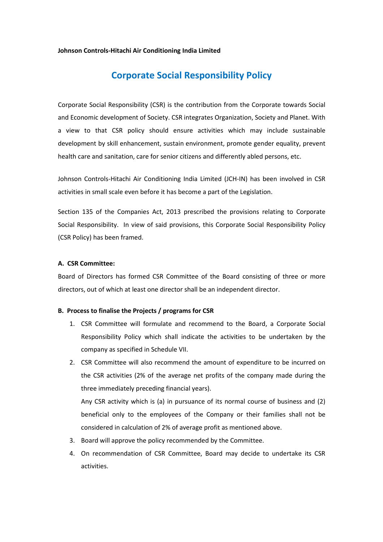#### **Johnson Controls-Hitachi Air Conditioning India Limited**

# **Corporate Social Responsibility Policy**

Corporate Social Responsibility (CSR) is the contribution from the Corporate towards Social and Economic development of Society. CSR integrates Organization, Society and Planet. With a view to that CSR policy should ensure activities which may include sustainable development by skill enhancement, sustain environment, promote gender equality, prevent health care and sanitation, care for senior citizens and differently abled persons, etc.

Johnson Controls-Hitachi Air Conditioning India Limited (JCH-IN) has been involved in CSR activities in small scale even before it has become a part of the Legislation.

Section 135 of the Companies Act, 2013 prescribed the provisions relating to Corporate Social Responsibility. In view of said provisions, this Corporate Social Responsibility Policy (CSR Policy) has been framed.

### **A. CSR Committee:**

Board of Directors has formed CSR Committee of the Board consisting of three or more directors, out of which at least one director shall be an independent director.

#### **B. Process to finalise the Projects / programs for CSR**

- 1. CSR Committee will formulate and recommend to the Board, a Corporate Social Responsibility Policy which shall indicate the activities to be undertaken by the company as specified in Schedule VII.
- 2. CSR Committee will also recommend the amount of expenditure to be incurred on the CSR activities (2% of the average net profits of the company made during the three immediately preceding financial years).

Any CSR activity which is (a) in pursuance of its normal course of business and (2) beneficial only to the employees of the Company or their families shall not be considered in calculation of 2% of average profit as mentioned above.

- 3. Board will approve the policy recommended by the Committee.
- 4. On recommendation of CSR Committee, Board may decide to undertake its CSR activities.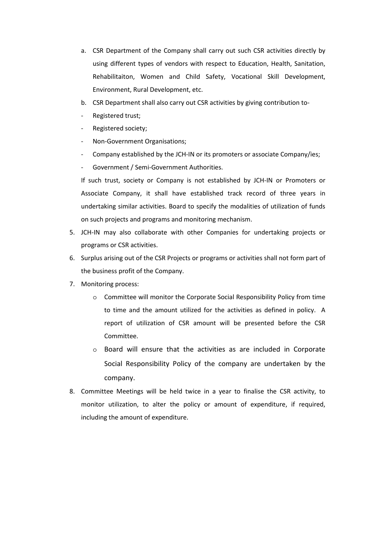- a. CSR Department of the Company shall carry out such CSR activities directly by using different types of vendors with respect to Education, Health, Sanitation, Rehabilitaiton, Women and Child Safety, Vocational Skill Development, Environment, Rural Development, etc.
- b. CSR Department shall also carry out CSR activities by giving contribution to-
- Registered trust;
- Registered society;
- Non-Government Organisations;
- Company established by the JCH-IN or its promoters or associate Company/ies;
- Government / Semi-Government Authorities.

If such trust, society or Company is not established by JCH-IN or Promoters or Associate Company, it shall have established track record of three years in undertaking similar activities. Board to specify the modalities of utilization of funds on such projects and programs and monitoring mechanism.

- 5. JCH-IN may also collaborate with other Companies for undertaking projects or programs or CSR activities.
- 6. Surplus arising out of the CSR Projects or programs or activities shall not form part of the business profit of the Company.
- 7. Monitoring process:
	- o Committee will monitor the Corporate Social Responsibility Policy from time to time and the amount utilized for the activities as defined in policy. A report of utilization of CSR amount will be presented before the CSR Committee.
	- o Board will ensure that the activities as are included in Corporate Social Responsibility Policy of the company are undertaken by the company.
- 8. Committee Meetings will be held twice in a year to finalise the CSR activity, to monitor utilization, to alter the policy or amount of expenditure, if required, including the amount of expenditure.